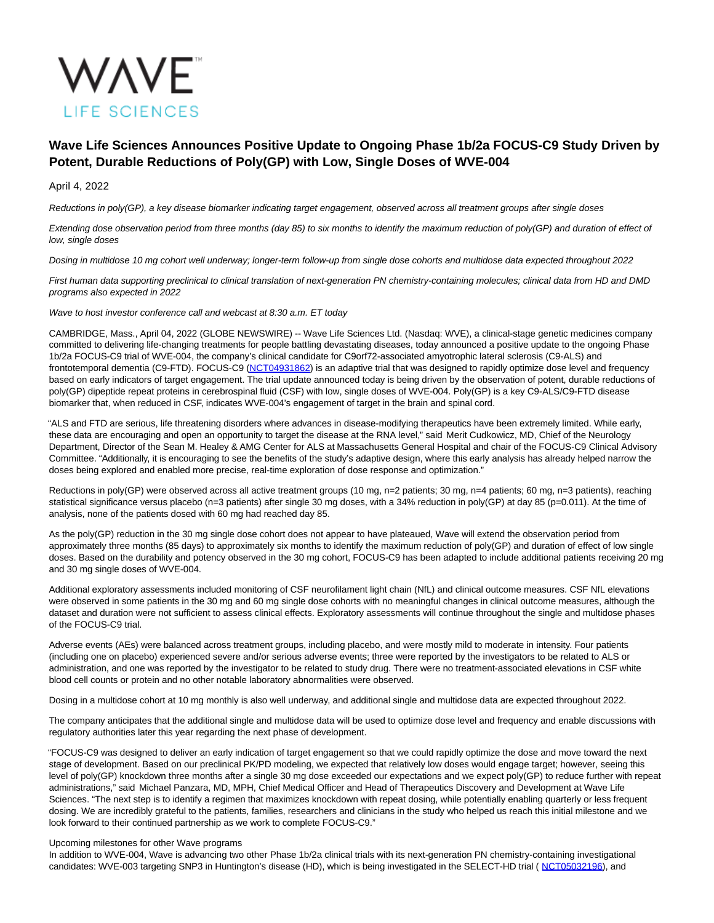

# **Wave Life Sciences Announces Positive Update to Ongoing Phase 1b/2a FOCUS-C9 Study Driven by Potent, Durable Reductions of Poly(GP) with Low, Single Doses of WVE-004**

# April 4, 2022

Reductions in poly(GP), a key disease biomarker indicating target engagement, observed across all treatment groups after single doses

Extending dose observation period from three months (day 85) to six months to identify the maximum reduction of poly(GP) and duration of effect of low, single doses

Dosing in multidose 10 mg cohort well underway; longer-term follow-up from single dose cohorts and multidose data expected throughout 2022

First human data supporting preclinical to clinical translation of next-generation PN chemistry-containing molecules; clinical data from HD and DMD programs also expected in 2022

Wave to host investor conference call and webcast at 8:30 a.m. ET today

CAMBRIDGE, Mass., April 04, 2022 (GLOBE NEWSWIRE) -- Wave Life Sciences Ltd. (Nasdaq: WVE), a clinical-stage genetic medicines company committed to delivering life-changing treatments for people battling devastating diseases, today announced a positive update to the ongoing Phase 1b/2a FOCUS-C9 trial of WVE-004, the company's clinical candidate for C9orf72-associated amyotrophic lateral sclerosis (C9-ALS) and frontotemporal dementia (C9-FTD). FOCUS-C9 [\(NCT04931862\)](https://www.globenewswire.com/Tracker?data=D4-gg0MJuKt4WX23m3xnaTtDOlLMHNtWvLuuP_XHTRLCi58sv_K13GNwZWmNW9TlxXu6CVjEz8hDqVNwRm4tqLN5u3N3RKQsJV_lQlANsYM3-LxNiejJCJorhK3KRkIkkuaoNMx0VnK32aEN9FGAfw==) is an adaptive trial that was designed to rapidly optimize dose level and frequency based on early indicators of target engagement. The trial update announced today is being driven by the observation of potent, durable reductions of poly(GP) dipeptide repeat proteins in cerebrospinal fluid (CSF) with low, single doses of WVE-004. Poly(GP) is a key C9-ALS/C9-FTD disease biomarker that, when reduced in CSF, indicates WVE-004's engagement of target in the brain and spinal cord.

"ALS and FTD are serious, life threatening disorders where advances in disease-modifying therapeutics have been extremely limited. While early, these data are encouraging and open an opportunity to target the disease at the RNA level," said Merit Cudkowicz, MD, Chief of the Neurology Department, Director of the Sean M. Healey & AMG Center for ALS at Massachusetts General Hospital and chair of the FOCUS-C9 Clinical Advisory Committee. "Additionally, it is encouraging to see the benefits of the study's adaptive design, where this early analysis has already helped narrow the doses being explored and enabled more precise, real-time exploration of dose response and optimization."

Reductions in poly(GP) were observed across all active treatment groups (10 mg, n=2 patients; 30 mg, n=4 patients; 60 mg, n=3 patients), reaching statistical significance versus placebo (n=3 patients) after single 30 mg doses, with a 34% reduction in poly(GP) at day 85 (p=0.011). At the time of analysis, none of the patients dosed with 60 mg had reached day 85.

As the poly(GP) reduction in the 30 mg single dose cohort does not appear to have plateaued, Wave will extend the observation period from approximately three months (85 days) to approximately six months to identify the maximum reduction of poly(GP) and duration of effect of low single doses. Based on the durability and potency observed in the 30 mg cohort, FOCUS-C9 has been adapted to include additional patients receiving 20 mg and 30 mg single doses of WVE-004.

Additional exploratory assessments included monitoring of CSF neurofilament light chain (NfL) and clinical outcome measures. CSF NfL elevations were observed in some patients in the 30 mg and 60 mg single dose cohorts with no meaningful changes in clinical outcome measures, although the dataset and duration were not sufficient to assess clinical effects. Exploratory assessments will continue throughout the single and multidose phases of the FOCUS-C9 trial.

Adverse events (AEs) were balanced across treatment groups, including placebo, and were mostly mild to moderate in intensity. Four patients (including one on placebo) experienced severe and/or serious adverse events; three were reported by the investigators to be related to ALS or administration, and one was reported by the investigator to be related to study drug. There were no treatment-associated elevations in CSF white blood cell counts or protein and no other notable laboratory abnormalities were observed.

Dosing in a multidose cohort at 10 mg monthly is also well underway, and additional single and multidose data are expected throughout 2022.

The company anticipates that the additional single and multidose data will be used to optimize dose level and frequency and enable discussions with regulatory authorities later this year regarding the next phase of development.

"FOCUS-C9 was designed to deliver an early indication of target engagement so that we could rapidly optimize the dose and move toward the next stage of development. Based on our preclinical PK/PD modeling, we expected that relatively low doses would engage target; however, seeing this level of poly(GP) knockdown three months after a single 30 mg dose exceeded our expectations and we expect poly(GP) to reduce further with repeat administrations," said Michael Panzara, MD, MPH, Chief Medical Officer and Head of Therapeutics Discovery and Development at Wave Life Sciences. "The next step is to identify a regimen that maximizes knockdown with repeat dosing, while potentially enabling quarterly or less frequent dosing. We are incredibly grateful to the patients, families, researchers and clinicians in the study who helped us reach this initial milestone and we look forward to their continued partnership as we work to complete FOCUS-C9."

# Upcoming milestones for other Wave programs

In addition to WVE-004, Wave is advancing two other Phase 1b/2a clinical trials with its next-generation PN chemistry-containing investigational candidates: WVE-003 targeting SNP3 in Huntington's disease (HD), which is being investigated in the SELECT-HD trial ( [NCT05032196\),](https://www.globenewswire.com/Tracker?data=CuFAus4f3-TUv5jSi6HmvqXhdmM7d4k1s4qhmz_UAO1LY8lhefM2KgEmn3t7N4-9CSzuUS0vWqr4J6ZbI4m7E7e0-9z6B8JVXRBm99HXi75b8vtUI1AaTi9HG98awhBOKern5T7mZUaqK6taSw3XbA==) and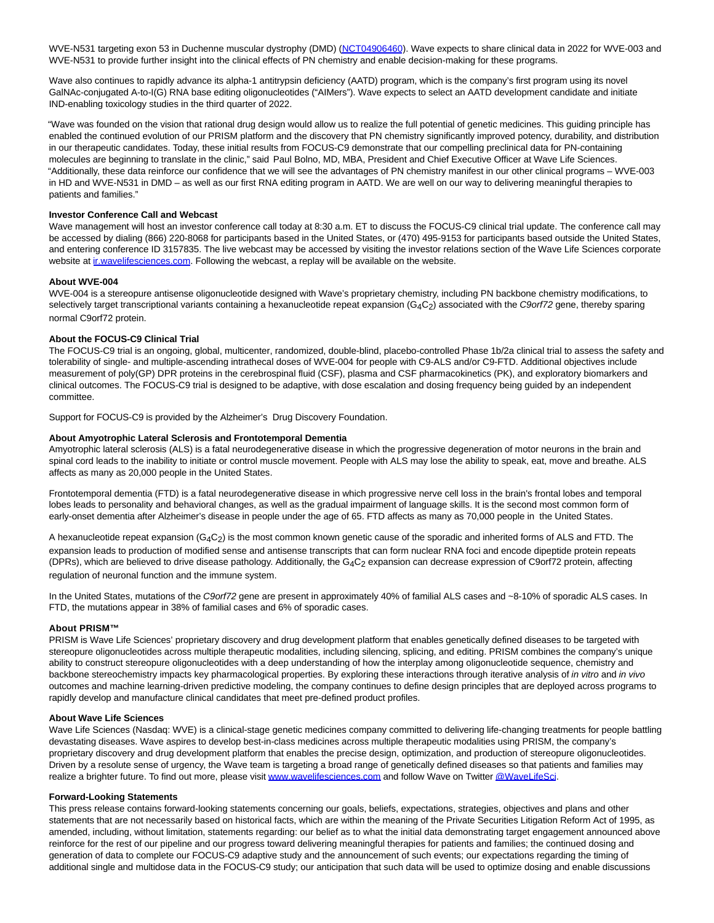WVE-N531 targeting exon 53 in Duchenne muscular dystrophy (DMD) [\(NCT04906460\)](https://www.globenewswire.com/Tracker?data=D4-gg0MJuKt4WX23m3xnaa_PBs52cEfr_LR3jRaAqPsUDhbfJc97Koe-8PI_Tirzx4fe38L9MYSE8kHauTcBY5aAcor8EynckjKa33kvmP1Nem1rNPqpCJBkg6xtORHpKt0LtAS2pRh9dQX7WYutIg==). Wave expects to share clinical data in 2022 for WVE-003 and WVE-N531 to provide further insight into the clinical effects of PN chemistry and enable decision-making for these programs.

Wave also continues to rapidly advance its alpha-1 antitrypsin deficiency (AATD) program, which is the company's first program using its novel GalNAc-conjugated A-to-I(G) RNA base editing oligonucleotides ("AIMers"). Wave expects to select an AATD development candidate and initiate IND-enabling toxicology studies in the third quarter of 2022.

"Wave was founded on the vision that rational drug design would allow us to realize the full potential of genetic medicines. This guiding principle has enabled the continued evolution of our PRISM platform and the discovery that PN chemistry significantly improved potency, durability, and distribution in our therapeutic candidates. Today, these initial results from FOCUS-C9 demonstrate that our compelling preclinical data for PN-containing molecules are beginning to translate in the clinic," said Paul Bolno, MD, MBA, President and Chief Executive Officer at Wave Life Sciences. "Additionally, these data reinforce our confidence that we will see the advantages of PN chemistry manifest in our other clinical programs – WVE-003 in HD and WVE-N531 in DMD – as well as our first RNA editing program in AATD. We are well on our way to delivering meaningful therapies to patients and families."

## **Investor Conference Call and Webcast**

Wave management will host an investor conference call today at 8:30 a.m. ET to discuss the FOCUS-C9 clinical trial update. The conference call may be accessed by dialing (866) 220-8068 for participants based in the United States, or (470) 495-9153 for participants based outside the United States, and entering conference ID 3157835. The live webcast may be accessed by visiting the investor relations section of the Wave Life Sciences corporate website at in wavelifesciences.com. Following the webcast, a replay will be available on the website.

## **About WVE-004**

WVE-004 is a stereopure antisense oligonucleotide designed with Wave's proprietary chemistry, including PN backbone chemistry modifications, to selectively target transcriptional variants containing a hexanucleotide repeat expansion ( $G_4C_2$ ) associated with the C9orf72 gene, thereby sparing normal C9orf72 protein.

# **About the FOCUS-C9 Clinical Trial**

The FOCUS-C9 trial is an ongoing, global, multicenter, randomized, double-blind, placebo-controlled Phase 1b/2a clinical trial to assess the safety and tolerability of single- and multiple-ascending intrathecal doses of WVE-004 for people with C9-ALS and/or C9-FTD. Additional objectives include measurement of poly(GP) DPR proteins in the cerebrospinal fluid (CSF), plasma and CSF pharmacokinetics (PK), and exploratory biomarkers and clinical outcomes. The FOCUS-C9 trial is designed to be adaptive, with dose escalation and dosing frequency being guided by an independent committee.

Support for FOCUS-C9 is provided by the Alzheimer's Drug Discovery Foundation.

## **About Amyotrophic Lateral Sclerosis and Frontotemporal Dementia**

Amyotrophic lateral sclerosis (ALS) is a fatal neurodegenerative disease in which the progressive degeneration of motor neurons in the brain and spinal cord leads to the inability to initiate or control muscle movement. People with ALS may lose the ability to speak, eat, move and breathe. ALS affects as many as 20,000 people in the United States.

Frontotemporal dementia (FTD) is a fatal neurodegenerative disease in which progressive nerve cell loss in the brain's frontal lobes and temporal lobes leads to personality and behavioral changes, as well as the gradual impairment of language skills. It is the second most common form of early-onset dementia after Alzheimer's disease in people under the age of 65. FTD affects as many as 70,000 people in the United States.

A hexanucleotide repeat expansion  $(G_4C_2)$  is the most common known genetic cause of the sporadic and inherited forms of ALS and FTD. The expansion leads to production of modified sense and antisense transcripts that can form nuclear RNA foci and encode dipeptide protein repeats (DPRs), which are believed to drive disease pathology. Additionally, the G4C2 expansion can decrease expression of C9orf72 protein, affecting regulation of neuronal function and the immune system.

In the United States, mutations of the C9orf72 gene are present in approximately 40% of familial ALS cases and ~8-10% of sporadic ALS cases. In FTD, the mutations appear in 38% of familial cases and 6% of sporadic cases.

#### **About PRISM™**

PRISM is Wave Life Sciences' proprietary discovery and drug development platform that enables genetically defined diseases to be targeted with stereopure oligonucleotides across multiple therapeutic modalities, including silencing, splicing, and editing. PRISM combines the company's unique ability to construct stereopure oligonucleotides with a deep understanding of how the interplay among oligonucleotide sequence, chemistry and backbone stereochemistry impacts key pharmacological properties. By exploring these interactions through iterative analysis of in vitro and in vivo outcomes and machine learning-driven predictive modeling, the company continues to define design principles that are deployed across programs to rapidly develop and manufacture clinical candidates that meet pre-defined product profiles.

## **About Wave Life Sciences**

Wave Life Sciences (Nasdaq: WVE) is a clinical-stage genetic medicines company committed to delivering life-changing treatments for people battling devastating diseases. Wave aspires to develop best-in-class medicines across multiple therapeutic modalities using PRISM, the company's proprietary discovery and drug development platform that enables the precise design, optimization, and production of stereopure oligonucleotides. Driven by a resolute sense of urgency, the Wave team is targeting a broad range of genetically defined diseases so that patients and families may realize a brighter future. To find out more, please visi[t www.wavelifesciences.com a](https://www.globenewswire.com/Tracker?data=glawkgysvYt8egX97jyf1c7dIcKl1gifqJiViA_N78bnjZAaKwTwDmciImcy_FYnsspMcOSwTMlvLv6MjLn7QxNGO9kIEcUcsarD7gyikyc=)nd follow Wave on Twitte[r @WaveLifeSci.](https://www.globenewswire.com/Tracker?data=W0If8yk7EyxlBlijKJpKJbDH3FUOqNoDFOHROm55B_2yCUdlO6_TOwr9XTqzg-UwQG-0KDIxjdkG9xMREM6-Eip51rmiUlnE_ensyPKYiA8=)

#### **Forward-Looking Statements**

This press release contains forward-looking statements concerning our goals, beliefs, expectations, strategies, objectives and plans and other statements that are not necessarily based on historical facts, which are within the meaning of the Private Securities Litigation Reform Act of 1995, as amended, including, without limitation, statements regarding: our belief as to what the initial data demonstrating target engagement announced above reinforce for the rest of our pipeline and our progress toward delivering meaningful therapies for patients and families; the continued dosing and generation of data to complete our FOCUS-C9 adaptive study and the announcement of such events; our expectations regarding the timing of additional single and multidose data in the FOCUS-C9 study; our anticipation that such data will be used to optimize dosing and enable discussions